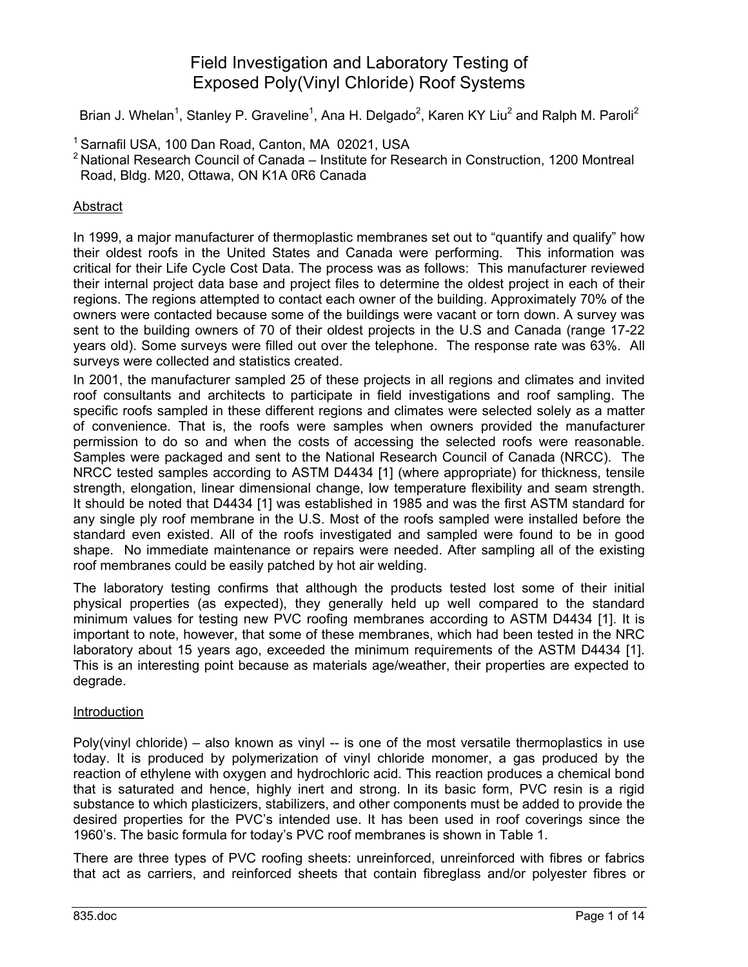# Field Investigation and Laboratory Testing of Exposed Poly(Vinyl Chloride) Roof Systems

Brian J. Whelan<sup>1</sup>, Stanley P. Graveline<sup>1</sup>, Ana H. Delgado<sup>2</sup>, Karen KY Liu<sup>2</sup> and Ralph M. Paroli<sup>2</sup>

- <sup>1</sup> Sarnafil USA, 100 Dan Road, Canton, MA 02021, USA
- $2$  National Research Council of Canada Institute for Research in Construction, 1200 Montreal Road, Bldg. M20, Ottawa, ON K1A 0R6 Canada

## Abstract

In 1999, a major manufacturer of thermoplastic membranes set out to "quantify and qualify" how their oldest roofs in the United States and Canada were performing. This information was critical for their Life Cycle Cost Data. The process was as follows: This manufacturer reviewed their internal project data base and project files to determine the oldest project in each of their regions. The regions attempted to contact each owner of the building. Approximately 70% of the owners were contacted because some of the buildings were vacant or torn down. A survey was sent to the building owners of 70 of their oldest projects in the U.S and Canada (range 17-22 years old). Some surveys were filled out over the telephone. The response rate was 63%. All surveys were collected and statistics created.

In 2001, the manufacturer sampled 25 of these projects in all regions and climates and invited roof consultants and architects to participate in field investigations and roof sampling. The specific roofs sampled in these different regions and climates were selected solely as a matter of convenience. That is, the roofs were samples when owners provided the manufacturer permission to do so and when the costs of accessing the selected roofs were reasonable. Samples were packaged and sent to the National Research Council of Canada (NRCC). The NRCC tested samples according to ASTM D4434 [1] (where appropriate) for thickness, tensile strength, elongation, linear dimensional change, low temperature flexibility and seam strength. It should be noted that D4434 [1] was established in 1985 and was the first ASTM standard for any single ply roof membrane in the U.S. Most of the roofs sampled were installed before the standard even existed. All of the roofs investigated and sampled were found to be in good shape. No immediate maintenance or repairs were needed. After sampling all of the existing roof membranes could be easily patched by hot air welding.

The laboratory testing confirms that although the products tested lost some of their initial physical properties (as expected), they generally held up well compared to the standard minimum values for testing new PVC roofing membranes according to ASTM D4434 [1]. It is important to note, however, that some of these membranes, which had been tested in the NRC laboratory about 15 years ago, exceeded the minimum requirements of the ASTM D4434 [1]. This is an interesting point because as materials age/weather, their properties are expected to degrade.

## Introduction

Poly(vinyl chloride) – also known as vinyl  $-$  is one of the most versatile thermoplastics in use today. It is produced by polymerization of vinyl chloride monomer, a gas produced by the reaction of ethylene with oxygen and hydrochloric acid. This reaction produces a chemical bond that is saturated and hence, highly inert and strong. In its basic form, PVC resin is a rigid substance to which plasticizers, stabilizers, and other components must be added to provide the desired properties for the PVC's intended use. It has been used in roof coverings since the 1960's. The basic formula for today's PVC roof membranes is shown in Table 1.

There are three types of PVC roofing sheets: unreinforced, unreinforced with fibres or fabrics that act as carriers, and reinforced sheets that contain fibreglass and/or polyester fibres or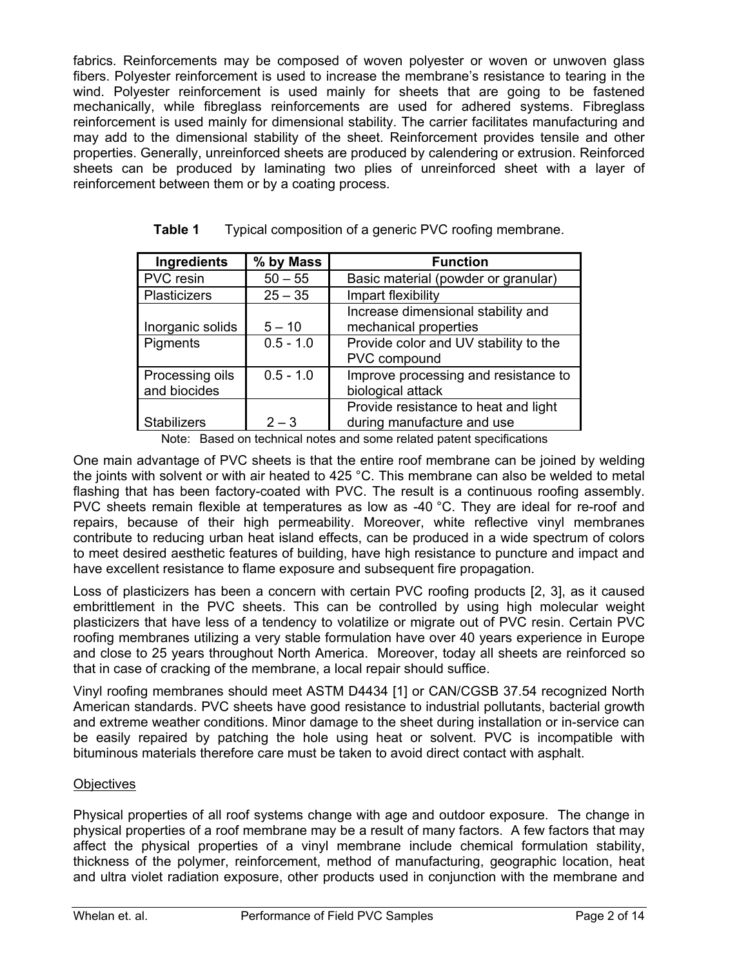fabrics. Reinforcements may be composed of woven polyester or woven or unwoven glass fibers. Polyester reinforcement is used to increase the membrane's resistance to tearing in the wind. Polyester reinforcement is used mainly for sheets that are going to be fastened mechanically, while fibreglass reinforcements are used for adhered systems. Fibreglass reinforcement is used mainly for dimensional stability. The carrier facilitates manufacturing and may add to the dimensional stability of the sheet. Reinforcement provides tensile and other properties. Generally, unreinforced sheets are produced by calendering or extrusion. Reinforced sheets can be produced by laminating two plies of unreinforced sheet with a layer of reinforcement between them or by a coating process.

| Ingredients                     | % by Mass   | <b>Function</b>                                                    |
|---------------------------------|-------------|--------------------------------------------------------------------|
| PVC resin                       | $50 - 55$   | Basic material (powder or granular)                                |
| Plasticizers                    | $25 - 35$   | Impart flexibility                                                 |
| Inorganic solids                | $5 - 10$    | Increase dimensional stability and<br>mechanical properties        |
| Pigments                        | $0.5 - 1.0$ | Provide color and UV stability to the<br>PVC compound              |
| Processing oils<br>and biocides | $0.5 - 1.0$ | Improve processing and resistance to<br>biological attack          |
| <b>Stabilizers</b>              | $2 - 3$     | Provide resistance to heat and light<br>during manufacture and use |

| Table 1 |  | Typical composition of a generic PVC roofing membrane. |
|---------|--|--------------------------------------------------------|
|         |  |                                                        |

Note: Based on technical notes and some related patent specifications

One main advantage of PVC sheets is that the entire roof membrane can be joined by welding the joints with solvent or with air heated to 425 °C. This membrane can also be welded to metal flashing that has been factory-coated with PVC. The result is a continuous roofing assembly. PVC sheets remain flexible at temperatures as low as -40 °C. They are ideal for re-roof and repairs, because of their high permeability. Moreover, white reflective vinyl membranes contribute to reducing urban heat island effects, can be produced in a wide spectrum of colors to meet desired aesthetic features of building, have high resistance to puncture and impact and have excellent resistance to flame exposure and subsequent fire propagation.

Loss of plasticizers has been a concern with certain PVC roofing products [2, 3], as it caused embrittlement in the PVC sheets. This can be controlled by using high molecular weight plasticizers that have less of a tendency to volatilize or migrate out of PVC resin. Certain PVC roofing membranes utilizing a very stable formulation have over 40 years experience in Europe and close to 25 years throughout North America. Moreover, today all sheets are reinforced so that in case of cracking of the membrane, a local repair should suffice.

Vinyl roofing membranes should meet ASTM D4434 [1] or CAN/CGSB 37.54 recognized North American standards. PVC sheets have good resistance to industrial pollutants, bacterial growth and extreme weather conditions. Minor damage to the sheet during installation or in-service can be easily repaired by patching the hole using heat or solvent. PVC is incompatible with bituminous materials therefore care must be taken to avoid direct contact with asphalt.

## **Objectives**

Physical properties of all roof systems change with age and outdoor exposure. The change in physical properties of a roof membrane may be a result of many factors. A few factors that may affect the physical properties of a vinyl membrane include chemical formulation stability, thickness of the polymer, reinforcement, method of manufacturing, geographic location, heat and ultra violet radiation exposure, other products used in conjunction with the membrane and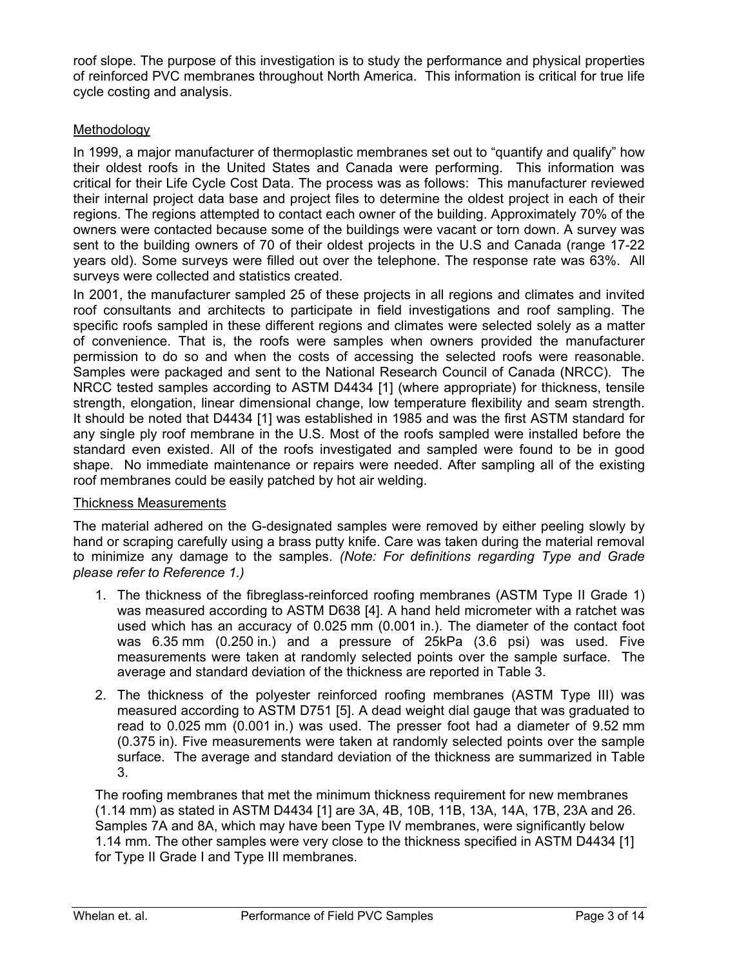roof slope. The purpose of this investigation is to study the performance and physical properties of reinforced PVC membranes throughout North America. This information is critical for true life cycle costing and analysis.

## Methodology

In 1999, a major manufacturer of thermoplastic membranes set out to "quantify and qualify" how their oldest roofs in the United States and Canada were performing. This information was critical for their Life Cycle Cost Data. The process was as follows: This manufacturer reviewed their internal project data base and project files to determine the oldest project in each of their regions. The regions attempted to contact each owner of the building. Approximately 70% of the owners were contacted because some of the buildings were vacant or torn down. A survey was sent to the building owners of 70 of their oldest projects in the U.S and Canada (range 17-22 years old). Some surveys were filled out over the telephone. The response rate was 63%. All surveys were collected and statistics created.

In 2001, the manufacturer sampled 25 of these projects in all regions and climates and invited roof consultants and architects to participate in field investigations and roof sampling. The specific roofs sampled in these different regions and climates were selected solely as a matter of convenience. That is, the roofs were samples when owners provided the manufacturer permission to do so and when the costs of accessing the selected roofs were reasonable. Samples were packaged and sent to the National Research Council of Canada (NRCC). The NRCC tested samples according to ASTM D4434 [1] (where appropriate) for thickness, tensile strength, elongation, linear dimensional change, low temperature flexibility and seam strength. It should be noted that D4434 [1] was established in 1985 and was the first ASTM standard for any single ply roof membrane in the U.S. Most of the roofs sampled were installed before the standard even existed. All of the roofs investigated and sampled were found to be in good shape. No immediate maintenance or repairs were needed. After sampling all of the existing roof membranes could be easily patched by hot air welding.

## Thickness Measurements

The material adhered on the G-designated samples were removed by either peeling slowly by hand or scraping carefully using a brass putty knife. Care was taken during the material removal to minimize any damage to the samples. *(Note: For definitions regarding Type and Grade please refer to Reference 1.)*

- 1. The thickness of the fibreglass-reinforced roofing membranes (ASTM Type II Grade 1) was measured according to ASTM D638 [4]. A hand held micrometer with a ratchet was used which has an accuracy of 0.025 mm (0.001 in.). The diameter of the contact foot was 6.35 mm (0.250 in.) and a pressure of 25kPa (3.6 psi) was used. Five measurements were taken at randomly selected points over the sample surface. The average and standard deviation of the thickness are reported in Table 3.
- 2. The thickness of the polyester reinforced roofing membranes (ASTM Type III) was measured according to ASTM D751 [5]. A dead weight dial gauge that was graduated to read to 0.025 mm (0.001 in.) was used. The presser foot had a diameter of 9.52 mm (0.375 in). Five measurements were taken at randomly selected points over the sample surface. The average and standard deviation of the thickness are summarized in Table 3.

The roofing membranes that met the minimum thickness requirement for new membranes (1.14 mm) as stated in ASTM D4434 [1] are 3A, 4B, 10B, 11B, 13A, 14A, 17B, 23A and 26. Samples 7A and 8A, which may have been Type IV membranes, were significantly below 1.14 mm. The other samples were very close to the thickness specified in ASTM D4434 [1] for Type II Grade I and Type III membranes.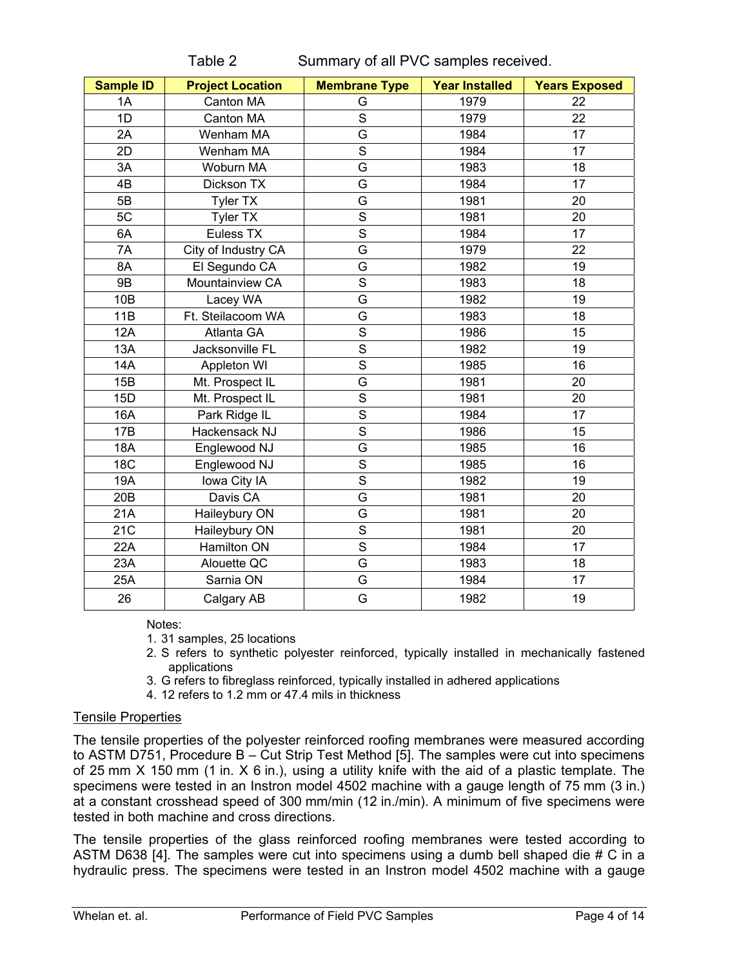| <b>Sample ID</b> | <b>Project Location</b> | <b>Membrane Type</b>                                                                                                                                                                                                                                                                                                                                                                                                                                     | <b>Year Installed</b> | <b>Years Exposed</b> |  |
|------------------|-------------------------|----------------------------------------------------------------------------------------------------------------------------------------------------------------------------------------------------------------------------------------------------------------------------------------------------------------------------------------------------------------------------------------------------------------------------------------------------------|-----------------------|----------------------|--|
| 1A               | Canton MA               | G                                                                                                                                                                                                                                                                                                                                                                                                                                                        | 1979                  | 22                   |  |
| 1D               | Canton MA               | $\mathsf{S}% _{T}=\mathsf{S}_{T}\!\left( a,b\right) ,\ \mathsf{S}_{T}=\mathsf{S}_{T}\!\left( a,b\right) ,\ \mathsf{S}_{T}=\mathsf{S}_{T}\!\left( a,b\right) ,\ \mathsf{S}_{T}=\mathsf{S}_{T}\!\left( a,b\right) ,\ \mathsf{S}_{T}=\mathsf{S}_{T}\!\left( a,b\right) ,\ \mathsf{S}_{T}=\mathsf{S}_{T}\!\left( a,b\right) ,\ \mathsf{S}_{T}=\mathsf{S}_{T}\!\left( a,b\right) ,\ \mathsf{S}_{T}=\mathsf{S}_{T}\!\left( a,b\right) ,\ \mathsf{S}_{T}=\math$ | 1979                  | 22                   |  |
| 2A               | Wenham MA               | G                                                                                                                                                                                                                                                                                                                                                                                                                                                        | 1984                  | 17                   |  |
| 2D               | Wenham MA               | $\overline{s}$                                                                                                                                                                                                                                                                                                                                                                                                                                           | 1984                  | 17                   |  |
| 3A               | Woburn MA               | G                                                                                                                                                                                                                                                                                                                                                                                                                                                        | 1983                  | 18                   |  |
| 4B               | Dickson TX              | G                                                                                                                                                                                                                                                                                                                                                                                                                                                        | 1984                  | 17                   |  |
| 5B               | Tyler TX                | G                                                                                                                                                                                                                                                                                                                                                                                                                                                        | 1981                  | 20                   |  |
| 5C               | <b>Tyler TX</b>         | $\overline{s}$                                                                                                                                                                                                                                                                                                                                                                                                                                           | 1981                  | 20                   |  |
| 6A               | Euless TX               | $\overline{s}$                                                                                                                                                                                                                                                                                                                                                                                                                                           | 1984                  | 17                   |  |
| 7A               | City of Industry CA     | G                                                                                                                                                                                                                                                                                                                                                                                                                                                        | 1979                  | 22                   |  |
| 8A               | El Segundo CA           | G                                                                                                                                                                                                                                                                                                                                                                                                                                                        | 1982                  | 19                   |  |
| <b>9B</b>        | Mountainview CA         | $\mathsf S$                                                                                                                                                                                                                                                                                                                                                                                                                                              | 1983                  | 18                   |  |
| 10B              | Lacey WA                | G                                                                                                                                                                                                                                                                                                                                                                                                                                                        | 1982                  | 19                   |  |
| 11B              | Ft. Steilacoom WA       | G                                                                                                                                                                                                                                                                                                                                                                                                                                                        | 1983                  | 18                   |  |
| 12A              | Atlanta GA              | S                                                                                                                                                                                                                                                                                                                                                                                                                                                        | 1986                  | 15                   |  |
| 13A              | Jacksonville FL         | $\overline{s}$                                                                                                                                                                                                                                                                                                                                                                                                                                           | 1982                  | 19                   |  |
| 14A              | Appleton WI             | $\overline{s}$                                                                                                                                                                                                                                                                                                                                                                                                                                           | 1985                  | 16                   |  |
| 15B              | Mt. Prospect IL         | G                                                                                                                                                                                                                                                                                                                                                                                                                                                        | 1981                  | 20                   |  |
| 15D              | Mt. Prospect IL         | $\overline{s}$                                                                                                                                                                                                                                                                                                                                                                                                                                           | 1981                  | 20                   |  |
| 16A              | Park Ridge IL           | $\overline{s}$                                                                                                                                                                                                                                                                                                                                                                                                                                           | 1984                  | 17                   |  |
| 17B              | Hackensack NJ           | $\overline{S}$                                                                                                                                                                                                                                                                                                                                                                                                                                           | 1986                  | 15                   |  |
| 18A              | Englewood NJ            | G                                                                                                                                                                                                                                                                                                                                                                                                                                                        | 1985                  | 16                   |  |
| <b>18C</b>       | Englewood NJ            | $\overline{s}$                                                                                                                                                                                                                                                                                                                                                                                                                                           | 1985                  | 16                   |  |
| 19A              | lowa City IA            | $\overline{s}$                                                                                                                                                                                                                                                                                                                                                                                                                                           | 1982                  | 19                   |  |
| 20 <sub>B</sub>  | Davis CA                | G                                                                                                                                                                                                                                                                                                                                                                                                                                                        | 1981                  | 20                   |  |
| 21A              | Haileybury ON           | G                                                                                                                                                                                                                                                                                                                                                                                                                                                        | 1981                  | 20                   |  |
| 21C              | Haileybury ON           | S                                                                                                                                                                                                                                                                                                                                                                                                                                                        | 1981                  | 20                   |  |
| 22A              | Hamilton ON             | $\overline{s}$                                                                                                                                                                                                                                                                                                                                                                                                                                           | 1984                  | 17                   |  |
| 23A              | Alouette QC             | G                                                                                                                                                                                                                                                                                                                                                                                                                                                        | 1983                  | 18                   |  |
| 25A              | Sarnia ON               | G                                                                                                                                                                                                                                                                                                                                                                                                                                                        | 1984                  | 17                   |  |
| 26               | Calgary AB              | G                                                                                                                                                                                                                                                                                                                                                                                                                                                        | 1982                  | 19                   |  |

Table 2 Summary of all PVC samples received.

Notes:

1. 31 samples, 25 locations

- 2. S refers to synthetic polyester reinforced, typically installed in mechanically fastened applications
- 3. G refers to fibreglass reinforced, typically installed in adhered applications
- 4. 12 refers to 1.2 mm or 47.4 mils in thickness

## Tensile Properties

The tensile properties of the polyester reinforced roofing membranes were measured according to ASTM D751, Procedure B – Cut Strip Test Method [5]. The samples were cut into specimens of 25 mm X 150 mm (1 in. X 6 in.), using a utility knife with the aid of a plastic template. The specimens were tested in an Instron model 4502 machine with a gauge length of 75 mm (3 in.) at a constant crosshead speed of 300 mm/min (12 in./min). A minimum of five specimens were tested in both machine and cross directions.

The tensile properties of the glass reinforced roofing membranes were tested according to ASTM D638 [4]. The samples were cut into specimens using a dumb bell shaped die # C in a hydraulic press. The specimens were tested in an Instron model 4502 machine with a gauge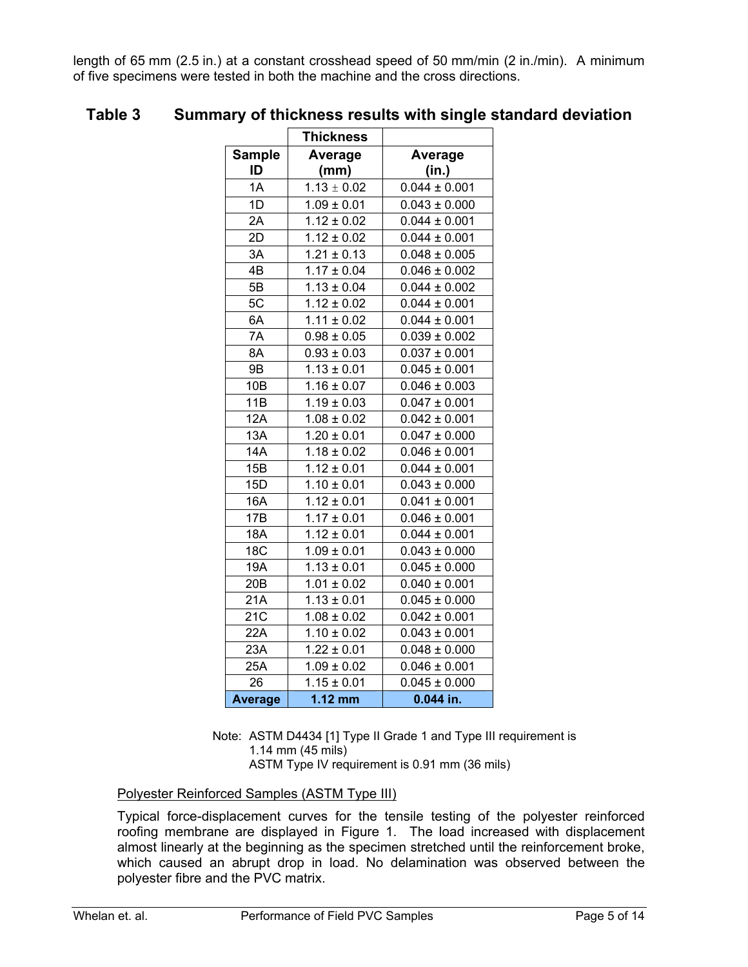length of 65 mm (2.5 in.) at a constant crosshead speed of 50 mm/min (2 in./min). A minimum of five specimens were tested in both the machine and the cross directions.

|                     | <b>Thickness</b>                     |                   |
|---------------------|--------------------------------------|-------------------|
| <b>Sample</b><br>ID | Average<br>(mm)                      | Average<br>(in.)  |
| 1A                  | $1.13 \pm 0.02$                      | $0.044 \pm 0.001$ |
| 1D                  | $1.09 \pm 0.01$                      | $0.043 \pm 0.000$ |
| 2A                  | $1.12 \pm 0.02$                      | $0.044 \pm 0.001$ |
| 2D                  | $1.12 \pm 0.02$                      | $0.044 \pm 0.001$ |
| 3A                  | $1.21 \pm 0.13$                      | $0.048 \pm 0.005$ |
| 4B                  | $1.17 \pm 0.04$                      | $0.046 \pm 0.002$ |
| 5B                  | $1.13 \pm 0.04$                      | $0.044 \pm 0.002$ |
| 5C                  | $1.12 \pm 0.02$                      | $0.044 \pm 0.001$ |
| 6A                  | $1.11 \pm 0.02$                      | $0.044 \pm 0.001$ |
| 7A                  | $0.98 \pm 0.05$                      | $0.039 \pm 0.002$ |
| 8A                  | $0.93 \pm 0.03$                      | $0.037 \pm 0.001$ |
| <b>9B</b>           | $1.13 \pm 0.01$                      | $0.045 \pm 0.001$ |
| 10B                 | $1.16 \pm 0.07$                      | $0.046 \pm 0.003$ |
| 11B                 | $1.19 \pm 0.03$                      | $0.047 \pm 0.001$ |
| 12A                 | $1.08 \pm 0.02$                      | $0.042 \pm 0.001$ |
| 13A                 | $1.20 \pm 0.01$                      | $0.047 \pm 0.000$ |
| 14A                 | $1.18 \pm 0.02$                      | $0.046 \pm 0.001$ |
| 15B                 | $1.12 \pm 0.01$                      | $0.044 \pm 0.001$ |
| 15D                 | $1.10 \pm 0.01$                      | $0.043 \pm 0.000$ |
| 16A                 | $0.041 \pm 0.001$<br>$1.12 \pm 0.01$ |                   |
| 17B                 | $1.17 \pm 0.01$                      | $0.046 \pm 0.001$ |
| <b>18A</b>          | $1.12 \pm 0.01$                      | $0.044 \pm 0.001$ |
| 18C                 | $1.09 \pm 0.01$                      | $0.043 \pm 0.000$ |
| 19A                 | $1.13 \pm 0.01$                      | $0.045 \pm 0.000$ |
| 20 <sub>B</sub>     | $1.01 \pm 0.02$                      | $0.040 \pm 0.001$ |
| 21A                 | $1.13 \pm 0.01$                      | $0.045 \pm 0.000$ |
| 21C                 | $1.08 \pm 0.02$                      | $0.042 \pm 0.001$ |
| 22A                 | $1.10 \pm 0.02$                      | $0.043 \pm 0.001$ |
| 23A                 | $1.22 \pm 0.01$                      | $0.048 \pm 0.000$ |
| 25A                 | $1.09 \pm 0.02$                      | $0.046 \pm 0.001$ |
| 26                  | $1.15 \pm 0.01$                      | $0.045 \pm 0.000$ |
| <b>Average</b>      | $1.12$ mm                            | $0.044$ in.       |

# **Table 3 Summary of thickness results with single standard deviation**

Note: ASTM D4434 [1] Type II Grade 1 and Type III requirement is 1.14 mm (45 mils) ASTM Type IV requirement is 0.91 mm (36 mils)

## Polyester Reinforced Samples (ASTM Type III)

Typical force-displacement curves for the tensile testing of the polyester reinforced roofing membrane are displayed in Figure 1. The load increased with displacement almost linearly at the beginning as the specimen stretched until the reinforcement broke, which caused an abrupt drop in load. No delamination was observed between the polyester fibre and the PVC matrix.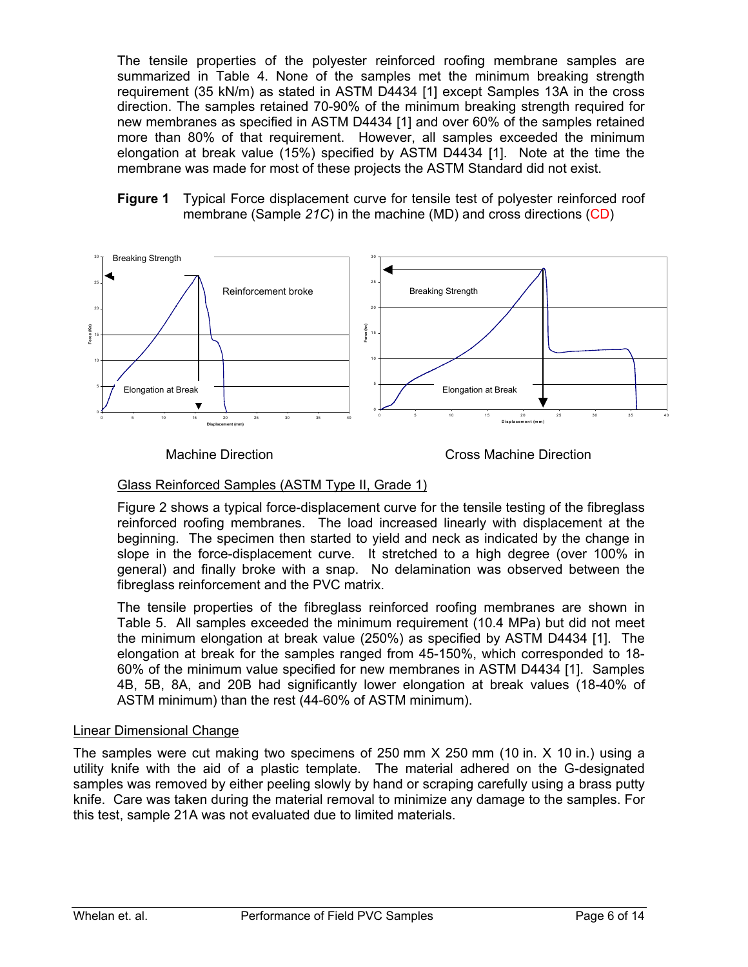The tensile properties of the polyester reinforced roofing membrane samples are summarized in Table 4. None of the samples met the minimum breaking strength requirement (35 kN/m) as stated in ASTM D4434 [1] except Samples 13A in the cross direction. The samples retained 70-90% of the minimum breaking strength required for new membranes as specified in ASTM D4434 [1] and over 60% of the samples retained more than 80% of that requirement. However, all samples exceeded the minimum elongation at break value (15%) specified by ASTM D4434 [1]. Note at the time the membrane was made for most of these projects the ASTM Standard did not exist.

#### **Figure 1** Typical Force displacement curve for tensile test of polyester reinforced roof membrane (Sample *21C*) in the machine (MD) and cross directions (CD)



Machine Direction Cross Machine Direction

## Glass Reinforced Samples (ASTM Type II, Grade 1)

Figure 2 shows a typical force-displacement curve for the tensile testing of the fibreglass reinforced roofing membranes. The load increased linearly with displacement at the beginning. The specimen then started to yield and neck as indicated by the change in slope in the force-displacement curve. It stretched to a high degree (over 100% in general) and finally broke with a snap. No delamination was observed between the fibreglass reinforcement and the PVC matrix.

The tensile properties of the fibreglass reinforced roofing membranes are shown in Table 5. All samples exceeded the minimum requirement (10.4 MPa) but did not meet the minimum elongation at break value (250%) as specified by ASTM D4434 [1]. The elongation at break for the samples ranged from 45-150%, which corresponded to 18- 60% of the minimum value specified for new membranes in ASTM D4434 [1]. Samples 4B, 5B, 8A, and 20B had significantly lower elongation at break values (18-40% of ASTM minimum) than the rest (44-60% of ASTM minimum).

## Linear Dimensional Change

The samples were cut making two specimens of 250 mm X 250 mm (10 in. X 10 in.) using a utility knife with the aid of a plastic template. The material adhered on the G-designated samples was removed by either peeling slowly by hand or scraping carefully using a brass putty knife. Care was taken during the material removal to minimize any damage to the samples. For this test, sample 21A was not evaluated due to limited materials.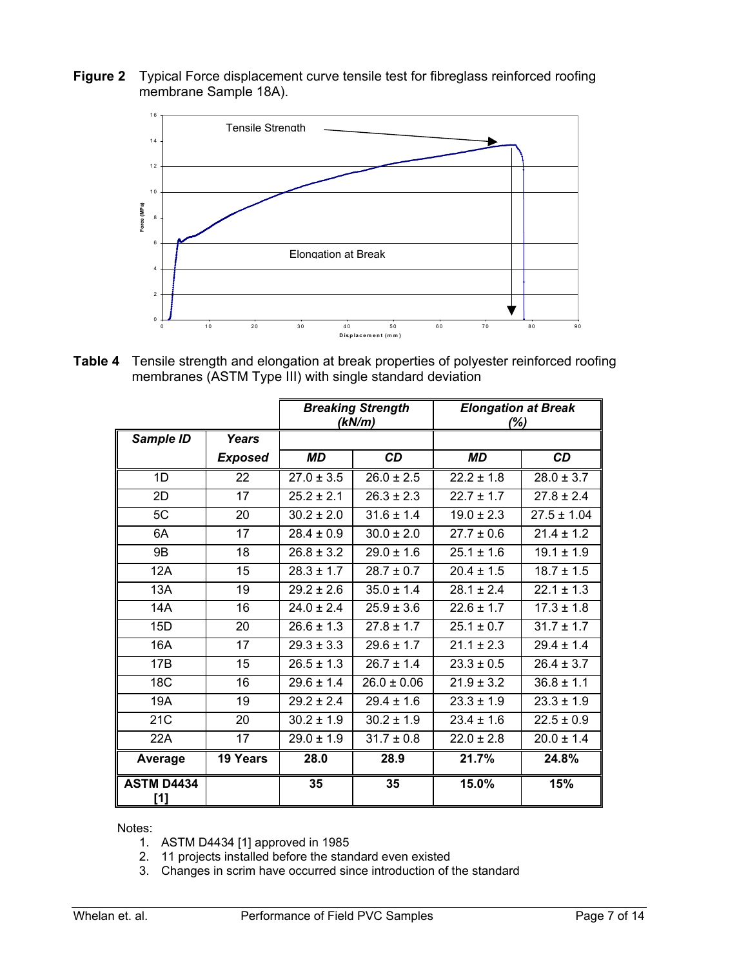**Figure 2** Typical Force displacement curve tensile test for fibreglass reinforced roofing membrane Sample 18A).



**Table 4** Tensile strength and elongation at break properties of polyester reinforced roofing membranes (ASTM Type III) with single standard deviation

|                          |                | <b>Breaking Strength</b><br>(kN/m) |                 | <b>Elongation at Break</b><br>(%) |                 |
|--------------------------|----------------|------------------------------------|-----------------|-----------------------------------|-----------------|
| Sample ID                | <b>Years</b>   |                                    |                 |                                   |                 |
|                          | <b>Exposed</b> | <b>MD</b>                          | <b>CD</b>       | <b>MD</b>                         | <b>CD</b>       |
| 1D                       | 22             | $27.0 \pm 3.5$                     | $26.0 \pm 2.5$  | $22.2 + 1.8$                      | $28.0 \pm 3.7$  |
| 2D                       | 17             | $25.2 \pm 2.1$                     | $26.3 \pm 2.3$  | $22.7 \pm 1.7$                    | $27.8 \pm 2.4$  |
| 5C                       | 20             | $30.2 \pm 2.0$                     | $31.6 \pm 1.4$  | $19.0 \pm 2.3$                    | $27.5 \pm 1.04$ |
| 6A                       | 17             | $28.4 \pm 0.9$                     | $30.0 \pm 2.0$  | $27.7 \pm 0.6$                    | $21.4 \pm 1.2$  |
| 9B                       | 18             | $26.8 + 3.2$                       | $29.0 \pm 1.6$  | $25.1 \pm 1.6$                    | $19.1 \pm 1.9$  |
| 12A                      | 15             | $28.3 \pm 1.7$                     | $28.7 \pm 0.7$  | $20.4 \pm 1.5$                    | $18.7 \pm 1.5$  |
| 13A                      | 19             | $29.2 \pm 2.6$                     | $35.0 \pm 1.4$  | $28.1 \pm 2.4$                    | $22.1 \pm 1.3$  |
| <b>14A</b>               | 16             | $24.0 \pm 2.4$                     | $25.9 \pm 3.6$  | $22.6 \pm 1.7$                    | $17.3 \pm 1.8$  |
| 15D                      | 20             | $26.6 \pm 1.3$                     | $27.8 \pm 1.7$  | $25.1 \pm 0.7$                    | $31.7 \pm 1.7$  |
| 16A                      | 17             | $29.3 \pm 3.3$                     | $29.6 \pm 1.7$  | $21.1 \pm 2.3$                    | $29.4 + 1.4$    |
| 17B                      | 15             | $26.5 \pm 1.3$                     | $26.7 \pm 1.4$  | $23.3 \pm 0.5$                    | $26.4 \pm 3.7$  |
| 18 <sub>C</sub>          | 16             | $29.6 \pm 1.4$                     | $26.0 \pm 0.06$ | $21.9 \pm 3.2$                    | $36.8 \pm 1.1$  |
| 19A                      | 19             | $29.2 \pm 2.4$                     | $29.4 \pm 1.6$  | $23.3 \pm 1.9$                    | $23.3 \pm 1.9$  |
| 21C                      | 20             | $30.2 \pm 1.9$<br>$30.2 \pm 1.9$   |                 | $23.4 \pm 1.6$                    | $22.5 \pm 0.9$  |
| 22A                      | 17             | $29.0 \pm 1.9$<br>$31.7 \pm 0.8$   |                 | $22.0 \pm 2.8$                    | $20.0 \pm 1.4$  |
| Average                  | 19 Years       | 28.0<br>28.9                       |                 | 21.7%                             | 24.8%           |
| <b>ASTM D4434</b><br>[1] |                | 35                                 | 35              | 15.0%                             | 15%             |

Notes:

- 1. ASTM D4434 [1] approved in 1985
- 2. 11 projects installed before the standard even existed
- 3. Changes in scrim have occurred since introduction of the standard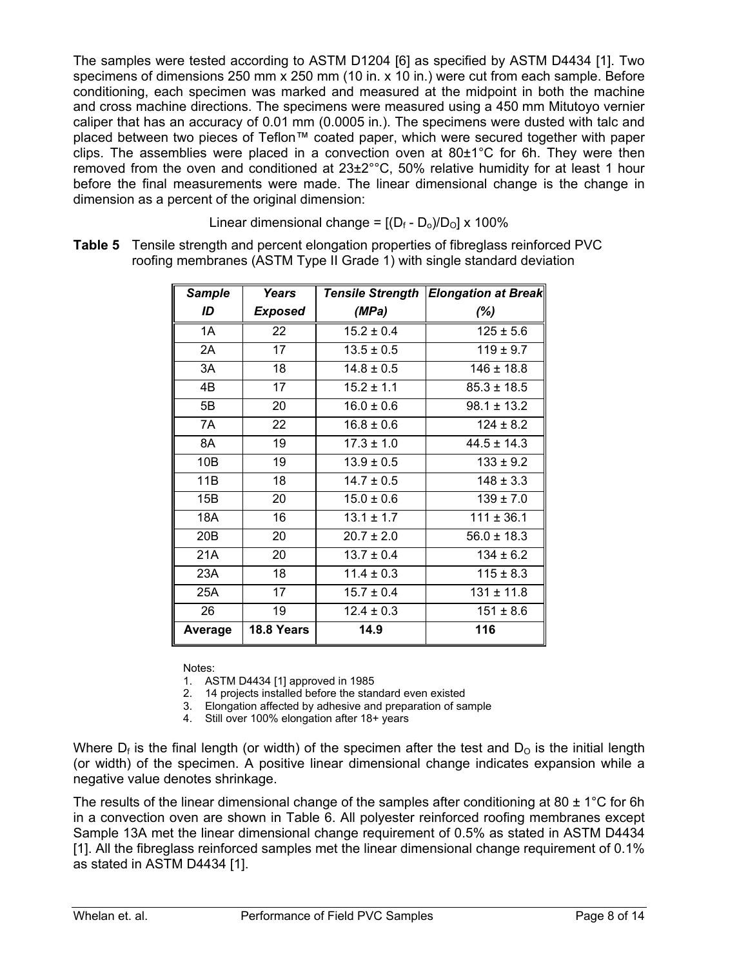The samples were tested according to ASTM D1204 [6] as specified by ASTM D4434 [1]. Two specimens of dimensions 250 mm x 250 mm (10 in. x 10 in.) were cut from each sample. Before conditioning, each specimen was marked and measured at the midpoint in both the machine and cross machine directions. The specimens were measured using a 450 mm Mitutoyo vernier caliper that has an accuracy of 0.01 mm (0.0005 in.). The specimens were dusted with talc and placed between two pieces of Teflon™ coated paper, which were secured together with paper clips. The assemblies were placed in a convection oven at 80±1°C for 6h. They were then removed from the oven and conditioned at  $23\pm2^{\circ}$ °C, 50% relative humidity for at least 1 hour before the final measurements were made. The linear dimensional change is the change in dimension as a percent of the original dimension:

Linear dimensional change =  $[(D_f - D_0)/D_O] \times 100\%$ 

**Table 5** Tensile strength and percent elongation properties of fibreglass reinforced PVC roofing membranes (ASTM Type II Grade 1) with single standard deviation

| <b>Sample</b>   | Years          | <b>Tensile Strength</b> | <b>Elongation at Break</b> |
|-----------------|----------------|-------------------------|----------------------------|
| ID              | <b>Exposed</b> | (MPa)                   | $(\%)$                     |
| 1A              | 22             | $15.2 \pm 0.4$          | $125 \pm 5.6$              |
| 2A              | 17             | $13.5 \pm 0.5$          | $119 \pm 9.7$              |
| 3A              | 18             | $14.8 \pm 0.5$          | $146 \pm 18.8$             |
| 4B              | 17             | $15.2 \pm 1.1$          | $85.3 \pm 18.5$            |
| 5B              | 20             | $16.0 \pm 0.6$          | $98.1 \pm 13.2$            |
| 7A              | 22             | $16.8 \pm 0.6$          | $124 \pm 8.2$              |
| 8A              | 19             | $17.3 \pm 1.0$          | $44.5 \pm 14.3$            |
| 10 <sub>B</sub> | 19             | $13.9 \pm 0.5$          | $133 \pm 9.2$              |
| 11B             | 18             | $14.7 \pm 0.5$          | $148 \pm 3.3$              |
| 15B             | 20             | $15.0 \pm 0.6$          | $139 \pm 7.0$              |
| <b>18A</b>      | 16             | $13.1 \pm 1.7$          | $111 \pm 36.1$             |
| 20B             | 20             | $20.7 \pm 2.0$          | $56.0 \pm 18.3$            |
| 21A             | 20             | $13.7 \pm 0.4$          | $134 \pm 6.2$              |
| 23A             | 18             | $11.4 \pm 0.3$          | $115 \pm 8.3$              |
| 25A             | 17             | $15.7 \pm 0.4$          | $131 \pm 11.8$             |
| 26              | 19             | $12.4 \pm 0.3$          | $151 \pm 8.6$              |
| Average         | 18.8 Years     | 14.9                    | 116                        |

Notes:

1. ASTM D4434 [1] approved in 1985

2. 14 projects installed before the standard even existed

3. Elongation affected by adhesive and preparation of sample

4. Still over 100% elongation after 18+ years

Where  $D_f$  is the final length (or width) of the specimen after the test and  $D<sub>o</sub>$  is the initial length (or width) of the specimen. A positive linear dimensional change indicates expansion while a negative value denotes shrinkage.

The results of the linear dimensional change of the samples after conditioning at 80  $\pm$  1°C for 6h in a convection oven are shown in Table 6. All polyester reinforced roofing membranes except Sample 13A met the linear dimensional change requirement of 0.5% as stated in ASTM D4434 [1]. All the fibreglass reinforced samples met the linear dimensional change requirement of 0.1% as stated in ASTM D4434 [1].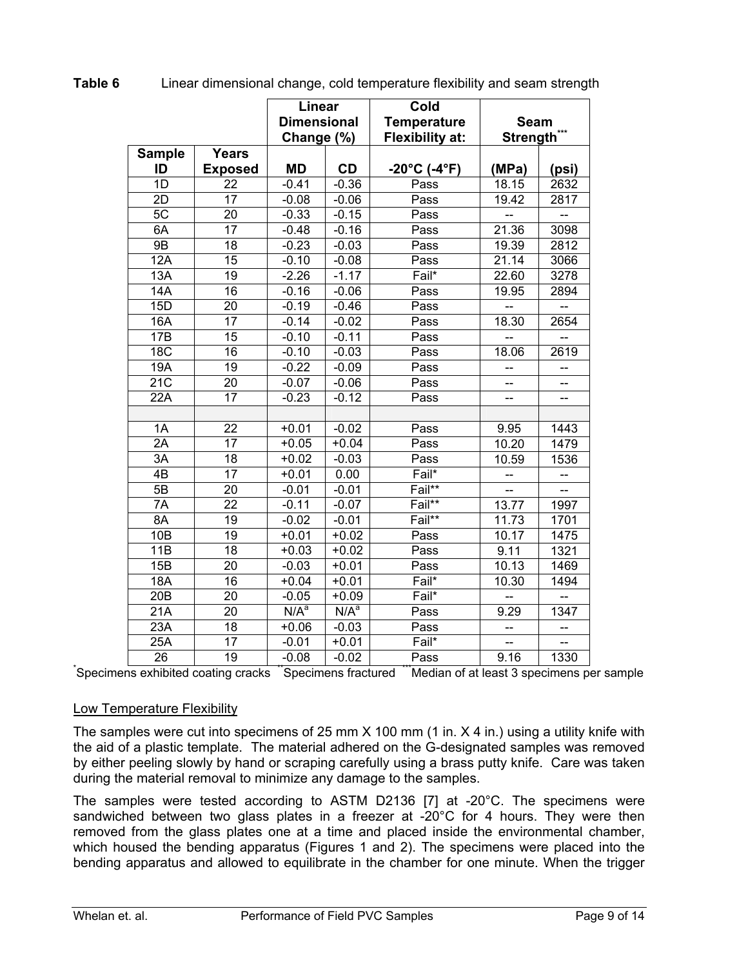|                  | <b>Linear</b><br><b>Dimensional</b><br>Change (%) |                  |                  | Cold<br><b>Temperature</b><br><b>Flexibility at:</b> | <b>Seam</b><br>Strength |                          |
|------------------|---------------------------------------------------|------------------|------------------|------------------------------------------------------|-------------------------|--------------------------|
| <b>Sample</b>    | <b>Years</b>                                      |                  |                  |                                                      |                         |                          |
| ID               | <b>Exposed</b>                                    | <b>MD</b>        | <b>CD</b>        | $-20^{\circ}$ C (-4 $^{\circ}$ F)                    | (MPa)                   | (psi)                    |
| $\overline{1}$   | 22                                                | $-0.41$          | $-0.36$          | Pass                                                 | 18.15                   | 2632                     |
| $\overline{2D}$  | 17                                                | $-0.08$          | $-0.06$          | Pass                                                 | 19.42                   | 2817                     |
| 5C               | $\overline{20}$                                   | $-0.33$          | $-0.15$          | Pass                                                 |                         | L.                       |
| 6A               | $\overline{17}$                                   | $-0.48$          | $-0.16$          | Pass                                                 | 21.36                   | 3098                     |
| 9B               | $\overline{18}$                                   | $-0.23$          | $-0.03$          | Pass                                                 | 19.39                   | 2812                     |
| 12A              | $\overline{15}$                                   | $-0.10$          | $-0.08$          | Pass                                                 | 21.14                   | 3066                     |
| 13A              | 19                                                | $-2.26$          | $-1.17$          | Fail*                                                | 22.60                   | 3278                     |
| 14A              | $\overline{16}$                                   | $-0.16$          | $-0.06$          | Pass                                                 | 19.95                   | 2894                     |
| 15D              | 20                                                | $-0.19$          | $-0.46$          | Pass                                                 |                         |                          |
| 16A              | $\overline{17}$                                   | $-0.14$          | $-0.02$          | Pass                                                 | 18.30                   | 2654                     |
| 17B              | 15                                                | $-0.10$          | $-0.11$          | Pass                                                 |                         | $\overline{\phantom{a}}$ |
| <b>18C</b>       | 16                                                | $-0.10$          | $-0.03$          | Pass                                                 | 18.06                   | 2619                     |
| $\overline{19A}$ | $\overline{19}$                                   | $-0.22$          | $-0.09$          | Pass                                                 |                         |                          |
| 21C              | $\overline{20}$                                   | $-0.07$          | $-0.06$          | Pass                                                 |                         |                          |
| 22A              | 17                                                | $-0.23$          | $-0.12$          | Pass                                                 |                         |                          |
|                  |                                                   |                  |                  |                                                      |                         |                          |
| 1A               | $\overline{22}$                                   | $+0.01$          | $-0.02$          | Pass                                                 | 9.95                    | 1443                     |
| 2A               | 17                                                | $+0.05$          | $+0.04$          | Pass                                                 | 10.20                   | 1479                     |
| $\overline{3A}$  | $\overline{18}$                                   | $+0.02$          | $-0.03$          | Pass                                                 | 10.59                   | 1536                     |
| $\overline{AB}$  | $\overline{17}$                                   | $+0.01$          | 0.00             | Fail*                                                |                         |                          |
| 5B               | 20                                                | $-0.01$          | $-0.01$          | Fail**                                               |                         |                          |
| 7A               | $\overline{22}$                                   | $-0.11$          | $-0.07$          | Fail**                                               | 13.77                   | 1997                     |
| 8A               | $\overline{19}$                                   | $-0.02$          | $-0.01$          | Fail**                                               | 11.73                   | 1701                     |
| 10B              | 19                                                | $+0.01$          | $+0.02$          | Pass                                                 | 10.17                   | 1475                     |
| 11B              | $\overline{18}$                                   | $+0.03$          | $+0.02$          | Pass                                                 | 9.11                    | 1321                     |
| 15B              | $\overline{20}$                                   | $-0.03$          | $+0.01$          | Pass                                                 | 10.13                   | 1469                     |
| <b>18A</b>       | 16                                                | $+0.04$          | $+0.01$          | Fail*                                                | 10.30                   | 1494                     |
| 20B              | $\overline{20}$                                   | $-0.05$          | $+0.09$          | Fail*                                                |                         |                          |
| 21A              | $\overline{20}$                                   | N/A <sup>a</sup> | N/A <sup>a</sup> | Pass                                                 | 9.29                    | 1347                     |
| 23A              | 18                                                | $+0.06$          | $-0.03$          | Pass                                                 | --                      | --                       |
| 25A              | $\overline{17}$                                   | $-0.01$          | $+0.01$          | Fail*                                                |                         |                          |
| 26               | 19                                                | $-0.08$          | $-0.02$          | Pass                                                 | 9.16                    | 1330                     |

**Table 6** Linear dimensional change, cold temperature flexibility and seam strength

 $\begin{array}{c|c|c|c|c|c} \end{array}$  26  $\begin{array}{|c|c|c|c|c|c|}\end{array}$  19 -0.08 | -0.02 |  $\begin{array}{|c|c|c|c|c|}\end{array}$  Pass | 9.16 | 1330 | Specimens exhibited coating cracks  $\begin{array}{|c|c|c|c|}\end{array}$  Spectrued  $\begin{array}{|c|c|c|}\end{array}$  Median of at lea

## Low Temperature Flexibility

The samples were cut into specimens of 25 mm X 100 mm (1 in. X 4 in.) using a utility knife with the aid of a plastic template. The material adhered on the G-designated samples was removed by either peeling slowly by hand or scraping carefully using a brass putty knife. Care was taken during the material removal to minimize any damage to the samples.

The samples were tested according to ASTM D2136 [7] at -20°C. The specimens were sandwiched between two glass plates in a freezer at -20°C for 4 hours. They were then removed from the glass plates one at a time and placed inside the environmental chamber, which housed the bending apparatus (Figures 1 and 2). The specimens were placed into the bending apparatus and allowed to equilibrate in the chamber for one minute. When the trigger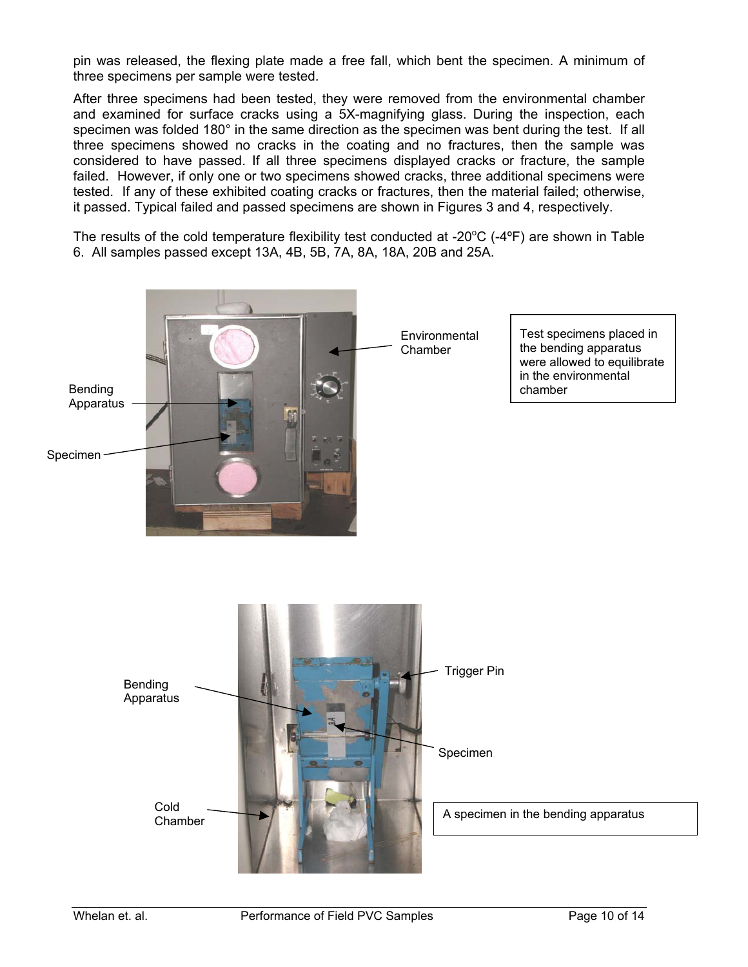pin was released, the flexing plate made a free fall, which bent the specimen. A minimum of three specimens per sample were tested.

After three specimens had been tested, they were removed from the environmental chamber and examined for surface cracks using a 5X-magnifying glass. During the inspection, each specimen was folded 180° in the same direction as the specimen was bent during the test. If all three specimens showed no cracks in the coating and no fractures, then the sample was considered to have passed. If all three specimens displayed cracks or fracture, the sample failed. However, if only one or two specimens showed cracks, three additional specimens were tested. If any of these exhibited coating cracks or fractures, then the material failed; otherwise, it passed. Typical failed and passed specimens are shown in Figures 3 and 4, respectively.

The results of the cold temperature flexibility test conducted at -20 $\mathrm{^{\circ}C}$  (-4 $\mathrm{^{\circ}F}$ ) are shown in Table 6. All samples passed except 13A, 4B, 5B, 7A, 8A, 18A, 20B and 25A.



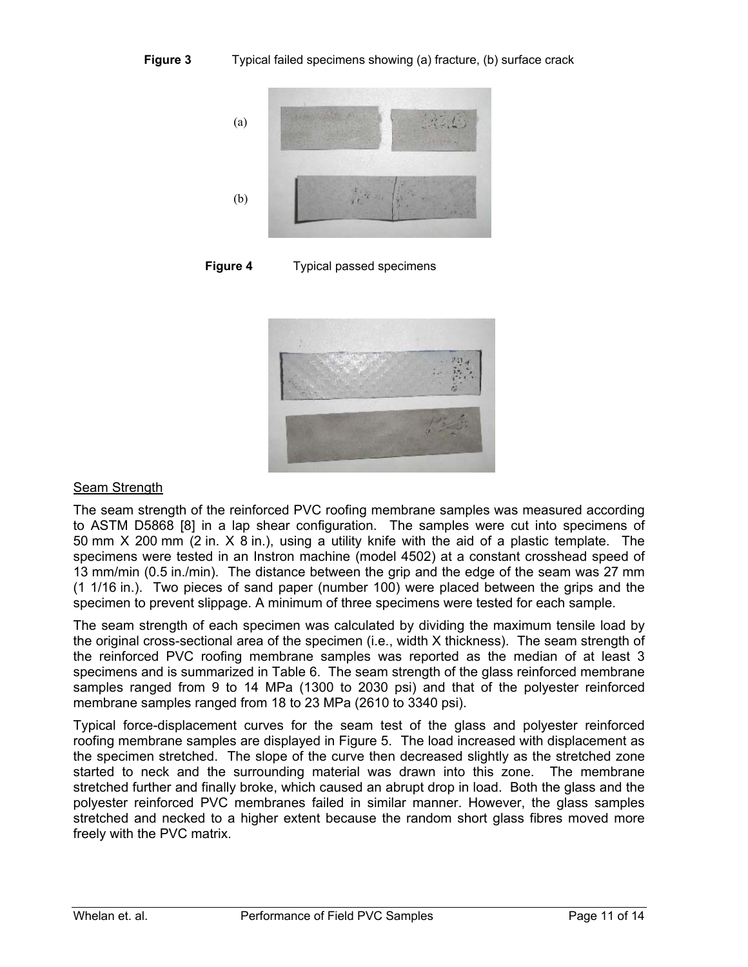

**Figure 4** Typical passed specimens



## Seam Strength

The seam strength of the reinforced PVC roofing membrane samples was measured according to ASTM D5868 [8] in a lap shear configuration. The samples were cut into specimens of 50 mm X 200 mm (2 in. X 8 in.), using a utility knife with the aid of a plastic template. The specimens were tested in an Instron machine (model 4502) at a constant crosshead speed of 13 mm/min (0.5 in./min). The distance between the grip and the edge of the seam was 27 mm (1 1/16 in.). Two pieces of sand paper (number 100) were placed between the grips and the specimen to prevent slippage. A minimum of three specimens were tested for each sample.

The seam strength of each specimen was calculated by dividing the maximum tensile load by the original cross-sectional area of the specimen (i.e., width X thickness). The seam strength of the reinforced PVC roofing membrane samples was reported as the median of at least 3 specimens and is summarized in Table 6. The seam strength of the glass reinforced membrane samples ranged from 9 to 14 MPa (1300 to 2030 psi) and that of the polyester reinforced membrane samples ranged from 18 to 23 MPa (2610 to 3340 psi).

Typical force-displacement curves for the seam test of the glass and polyester reinforced roofing membrane samples are displayed in Figure 5. The load increased with displacement as the specimen stretched. The slope of the curve then decreased slightly as the stretched zone started to neck and the surrounding material was drawn into this zone. The membrane stretched further and finally broke, which caused an abrupt drop in load. Both the glass and the polyester reinforced PVC membranes failed in similar manner. However, the glass samples stretched and necked to a higher extent because the random short glass fibres moved more freely with the PVC matrix.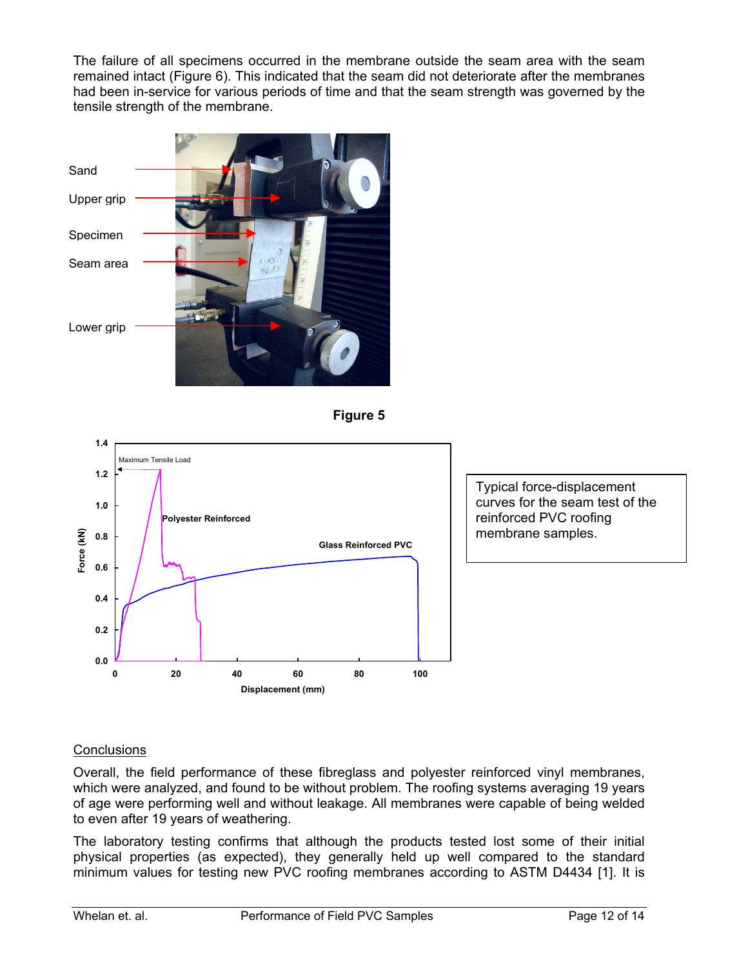The failure of all specimens occurred in the membrane outside the seam area with the seam remained intact (Figure 6). This indicated that the seam did not deteriorate after the membranes had been in-service for various periods of time and that the seam strength was governed by the tensile strength of the membrane.







Typical force-displacement curves for the seam test of the reinforced PVC roofing membrane samples.

## **Conclusions**

Overall, the field performance of these fibreglass and polyester reinforced vinyl membranes, which were analyzed, and found to be without problem. The roofing systems averaging 19 years of age were performing well and without leakage. All membranes were capable of being welded to even after 19 years of weathering.

The laboratory testing confirms that although the products tested lost some of their initial physical properties (as expected), they generally held up well compared to the standard minimum values for testing new PVC roofing membranes according to ASTM D4434 [1]. It is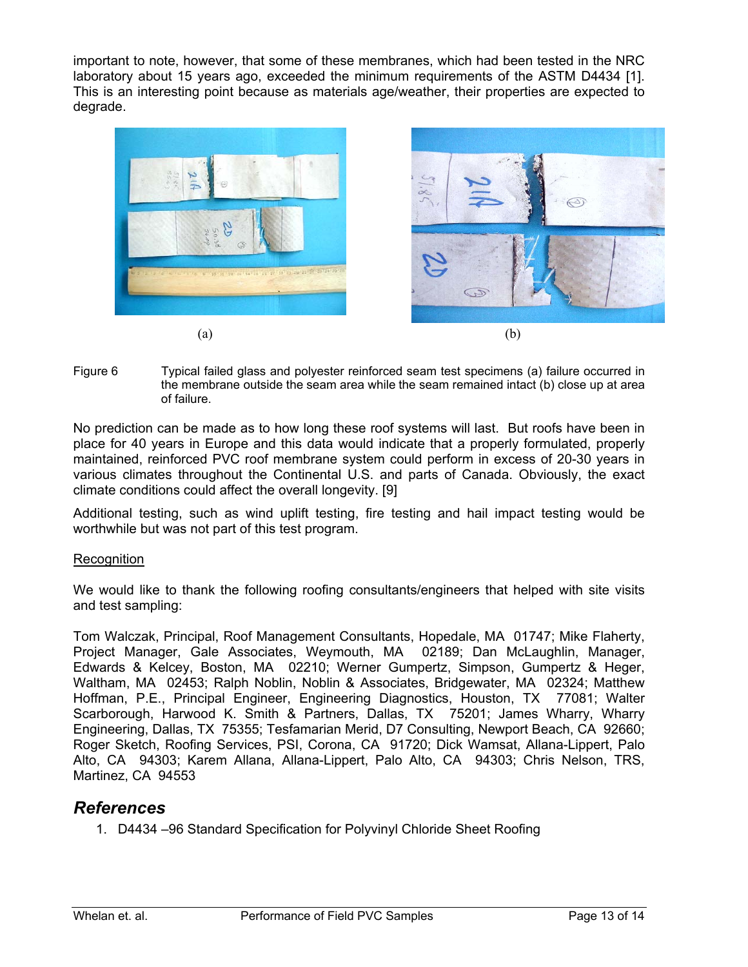important to note, however, that some of these membranes, which had been tested in the NRC laboratory about 15 years ago, exceeded the minimum requirements of the ASTM D4434 [1]. This is an interesting point because as materials age/weather, their properties are expected to degrade.



Figure 6 Typical failed glass and polyester reinforced seam test specimens (a) failure occurred in the membrane outside the seam area while the seam remained intact (b) close up at area of failure.

No prediction can be made as to how long these roof systems will last. But roofs have been in place for 40 years in Europe and this data would indicate that a properly formulated, properly maintained, reinforced PVC roof membrane system could perform in excess of 20-30 years in various climates throughout the Continental U.S. and parts of Canada. Obviously, the exact climate conditions could affect the overall longevity. [9]

Additional testing, such as wind uplift testing, fire testing and hail impact testing would be worthwhile but was not part of this test program.

## **Recognition**

We would like to thank the following roofing consultants/engineers that helped with site visits and test sampling:

Tom Walczak, Principal, Roof Management Consultants, Hopedale, MA 01747; Mike Flaherty, Project Manager, Gale Associates, Weymouth, MA 02189; Dan McLaughlin, Manager, Edwards & Kelcey, Boston, MA 02210; Werner Gumpertz, Simpson, Gumpertz & Heger, Waltham, MA 02453; Ralph Noblin, Noblin & Associates, Bridgewater, MA 02324; Matthew Hoffman, P.E., Principal Engineer, Engineering Diagnostics, Houston, TX 77081; Walter Scarborough, Harwood K. Smith & Partners, Dallas, TX 75201; James Wharry, Wharry Engineering, Dallas, TX 75355; Tesfamarian Merid, D7 Consulting, Newport Beach, CA 92660; Roger Sketch, Roofing Services, PSI, Corona, CA 91720; Dick Wamsat, Allana-Lippert, Palo Alto, CA 94303; Karem Allana, Allana-Lippert, Palo Alto, CA 94303; Chris Nelson, TRS, Martinez, CA 94553

## *References*

1. D4434 –96 Standard Specification for Polyvinyl Chloride Sheet Roofing